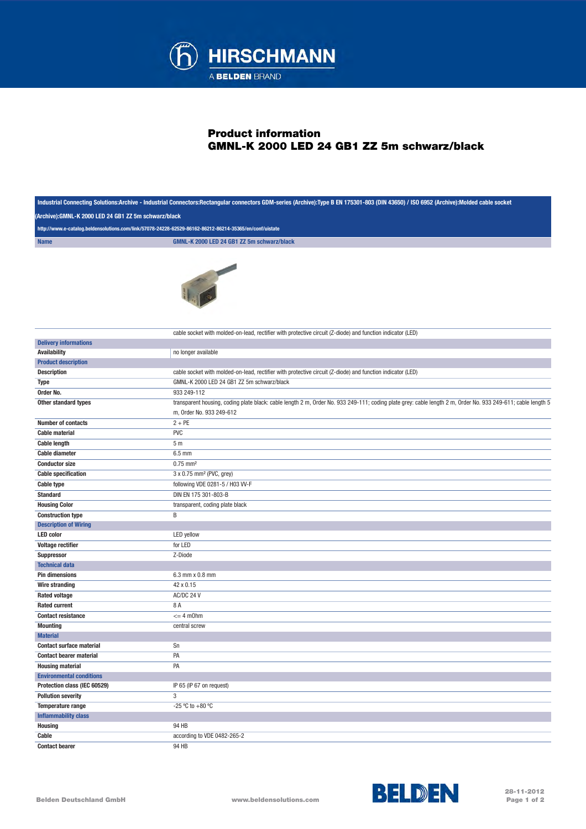

## Product information GMNL-K 2000 LED 24 GB1 ZZ 5m schwarz/black

| Industrial Connecting Solutions:Archive - Industrial Connectors:Rectangular connectors GDM-series (Archive):Type B EN 175301-803 (DIN 43650) / ISO 6952 (Archive):Molded cable socket |                                                                                                                                                                                          |  |
|---------------------------------------------------------------------------------------------------------------------------------------------------------------------------------------|------------------------------------------------------------------------------------------------------------------------------------------------------------------------------------------|--|
| (Archive):GMNL-K 2000 LED 24 GB1 ZZ 5m schwarz/black                                                                                                                                  |                                                                                                                                                                                          |  |
|                                                                                                                                                                                       | http://www.e-catalog.beldensolutions.com/link/57078-24228-62529-86162-86212-86214-35365/en/conf/uistate                                                                                  |  |
| <b>Name</b>                                                                                                                                                                           | GMNL-K 2000 LED 24 GB1 ZZ 5m schwarz/black                                                                                                                                               |  |
|                                                                                                                                                                                       |                                                                                                                                                                                          |  |
|                                                                                                                                                                                       | cable socket with molded-on-lead, rectifier with protective circuit (Z-diode) and function indicator (LED)                                                                               |  |
| <b>Delivery informations</b>                                                                                                                                                          |                                                                                                                                                                                          |  |
| <b>Availability</b>                                                                                                                                                                   | no longer available                                                                                                                                                                      |  |
| <b>Product description</b>                                                                                                                                                            |                                                                                                                                                                                          |  |
| <b>Description</b>                                                                                                                                                                    | cable socket with molded-on-lead, rectifier with protective circuit (Z-diode) and function indicator (LED)                                                                               |  |
| <b>Type</b>                                                                                                                                                                           | GMNL-K 2000 LED 24 GB1 ZZ 5m schwarz/black                                                                                                                                               |  |
| Order No.                                                                                                                                                                             | 933 249-112                                                                                                                                                                              |  |
| Other standard types                                                                                                                                                                  | transparent housing, coding plate black: cable length 2 m, Order No. 933 249-111; coding plate grey: cable length 2 m, Order No. 933 249-611; cable length 5<br>m, Order No. 933 249-612 |  |
| <b>Number of contacts</b>                                                                                                                                                             | $2 + PE$                                                                                                                                                                                 |  |
| <b>Cable material</b>                                                                                                                                                                 | <b>PVC</b>                                                                                                                                                                               |  |
| <b>Cable length</b>                                                                                                                                                                   | 5 <sub>m</sub>                                                                                                                                                                           |  |
| <b>Cable diameter</b>                                                                                                                                                                 | $6.5$ mm                                                                                                                                                                                 |  |
| <b>Conductor size</b>                                                                                                                                                                 | $0.75$ mm <sup>2</sup>                                                                                                                                                                   |  |
| <b>Cable specification</b>                                                                                                                                                            | 3 x 0.75 mm <sup>2</sup> (PVC, grey)                                                                                                                                                     |  |
| <b>Cable type</b>                                                                                                                                                                     | following VDE 0281-5 / H03 W-F                                                                                                                                                           |  |
| <b>Standard</b>                                                                                                                                                                       | DIN EN 175 301-803-B                                                                                                                                                                     |  |
| <b>Housing Color</b>                                                                                                                                                                  | transparent, coding plate black                                                                                                                                                          |  |
| <b>Construction type</b>                                                                                                                                                              | B                                                                                                                                                                                        |  |
| <b>Description of Wiring</b>                                                                                                                                                          |                                                                                                                                                                                          |  |
| <b>LED</b> color                                                                                                                                                                      | LED yellow                                                                                                                                                                               |  |
| <b>Voltage rectifier</b>                                                                                                                                                              | for LED                                                                                                                                                                                  |  |
| <b>Suppressor</b>                                                                                                                                                                     | Z-Diode                                                                                                                                                                                  |  |
| <b>Technical data</b>                                                                                                                                                                 |                                                                                                                                                                                          |  |
| <b>Pin dimensions</b>                                                                                                                                                                 | 6.3 mm x 0.8 mm                                                                                                                                                                          |  |
| <b>Wire stranding</b>                                                                                                                                                                 | 42 x 0.15                                                                                                                                                                                |  |
| <b>Rated voltage</b>                                                                                                                                                                  | AC/DC 24 V                                                                                                                                                                               |  |
| <b>Rated current</b>                                                                                                                                                                  | 8 A                                                                                                                                                                                      |  |
| <b>Contact resistance</b>                                                                                                                                                             | $= 4$ m0hm                                                                                                                                                                               |  |
|                                                                                                                                                                                       |                                                                                                                                                                                          |  |
| <b>Mounting</b><br><b>Material</b>                                                                                                                                                    | central screw                                                                                                                                                                            |  |
|                                                                                                                                                                                       | Sn                                                                                                                                                                                       |  |
| <b>Contact surface material</b>                                                                                                                                                       | PA                                                                                                                                                                                       |  |
| <b>Contact bearer material</b>                                                                                                                                                        |                                                                                                                                                                                          |  |
| <b>Housing material</b>                                                                                                                                                               | PA                                                                                                                                                                                       |  |
| <b>Environmental conditions</b>                                                                                                                                                       |                                                                                                                                                                                          |  |
| Protection class (IEC 60529)                                                                                                                                                          | IP 65 (IP 67 on request)                                                                                                                                                                 |  |
| <b>Pollution severity</b>                                                                                                                                                             | 3                                                                                                                                                                                        |  |
| <b>Temperature range</b>                                                                                                                                                              | -25 °C to +80 °C                                                                                                                                                                         |  |
| <b>Inflammability class</b>                                                                                                                                                           |                                                                                                                                                                                          |  |
| <b>Housing</b>                                                                                                                                                                        | 94 HB                                                                                                                                                                                    |  |
| Cable                                                                                                                                                                                 | according to VDE 0482-265-2                                                                                                                                                              |  |
| <b>Contact bearer</b>                                                                                                                                                                 | 94 HB                                                                                                                                                                                    |  |